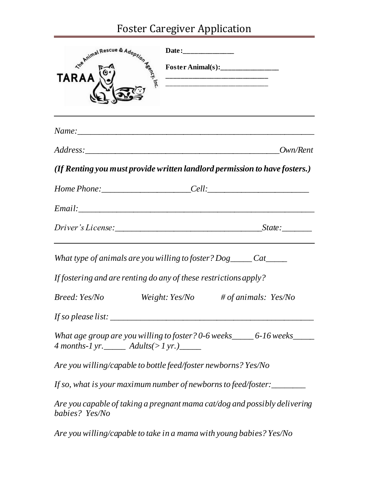## Foster Caregiver Application

| <b>TARAA</b>                                     | Foster Animal(s):                                                          |
|--------------------------------------------------|----------------------------------------------------------------------------|
|                                                  |                                                                            |
|                                                  | Own/Rent                                                                   |
|                                                  | (If Renting you must provide written landlord permission to have fosters.) |
|                                                  |                                                                            |
|                                                  |                                                                            |
|                                                  |                                                                            |
|                                                  | What type of animals are you willing to foster? $Dog$ _____ Cat_____       |
|                                                  | If fostering and are renting do any of these restrictions apply?           |
| Breed: Yes/No                                    | Weight: $Yes/No$ # of animals: $Yes/No$                                    |
| If so please list: $\frac{1}{2}$ so please list: |                                                                            |
| 4 months-1 yr. _______ Adults(>1 yr.)______      | What age group are you willing to foster? 0-6 weeks______ 6-16 weeks______ |
|                                                  | Are you willing/capable to bottle feed/foster newborns? Yes/No             |
|                                                  | If so, what is your maximum number of newborns to feed/foster:________     |
| babies? Yes/No                                   | Are you capable of taking a pregnant mama cat/dog and possibly delivering  |
|                                                  | Are you willing/capable to take in a mama with young babies? Yes/No        |